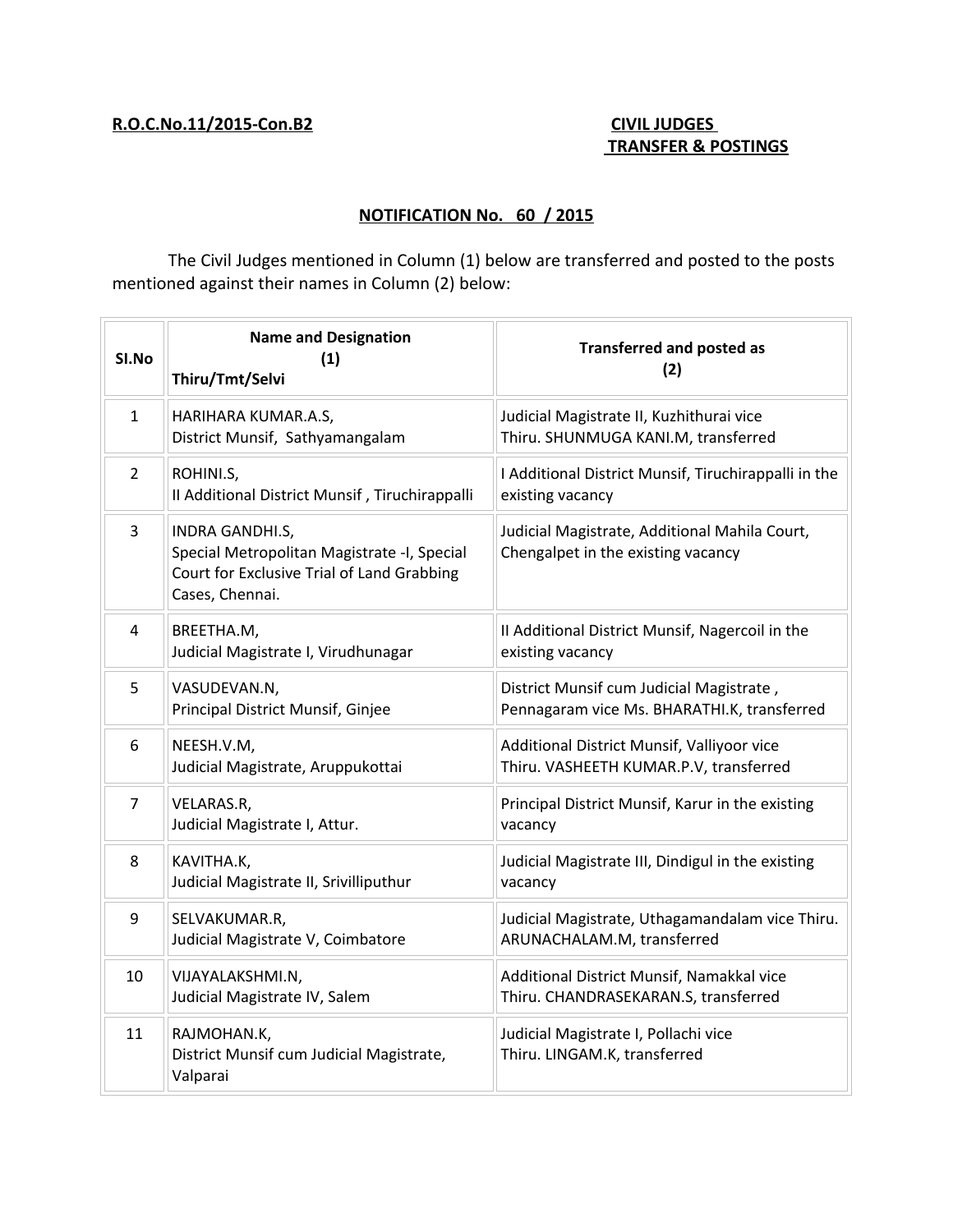## **R.O.C.No.11/2015-Con.B2 CIVIL JUDGES**

# **TRANSFER & POSTINGS**

### **NOTIFICATION No. 60 / 2015**

The Civil Judges mentioned in Column (1) below are transferred and posted to the posts mentioned against their names in Column (2) below:

| SI.No          | <b>Name and Designation</b><br>(1)<br>Thiru/Tmt/Selvi                                                                           | <b>Transferred and posted as</b><br>(2)                                                 |
|----------------|---------------------------------------------------------------------------------------------------------------------------------|-----------------------------------------------------------------------------------------|
| $\mathbf{1}$   | HARIHARA KUMAR.A.S,<br>District Munsif, Sathyamangalam                                                                          | Judicial Magistrate II, Kuzhithurai vice<br>Thiru. SHUNMUGA KANI.M, transferred         |
| $\overline{2}$ | ROHINI.S,<br>Il Additional District Munsif, Tiruchirappalli                                                                     | I Additional District Munsif, Tiruchirappalli in the<br>existing vacancy                |
| 3              | INDRA GANDHI.S,<br>Special Metropolitan Magistrate -I, Special<br>Court for Exclusive Trial of Land Grabbing<br>Cases, Chennai. | Judicial Magistrate, Additional Mahila Court,<br>Chengalpet in the existing vacancy     |
| 4              | BREETHA.M,<br>Judicial Magistrate I, Virudhunagar                                                                               | II Additional District Munsif, Nagercoil in the<br>existing vacancy                     |
| 5              | VASUDEVAN.N,<br>Principal District Munsif, Ginjee                                                                               | District Munsif cum Judicial Magistrate,<br>Pennagaram vice Ms. BHARATHI.K, transferred |
| 6              | NEESH.V.M,<br>Judicial Magistrate, Aruppukottai                                                                                 | Additional District Munsif, Valliyoor vice<br>Thiru. VASHEETH KUMAR.P.V, transferred    |
| $\overline{7}$ | VELARAS.R,<br>Judicial Magistrate I, Attur.                                                                                     | Principal District Munsif, Karur in the existing<br>vacancy                             |
| 8              | KAVITHA.K,<br>Judicial Magistrate II, Srivilliputhur                                                                            | Judicial Magistrate III, Dindigul in the existing<br>vacancy                            |
| 9              | SELVAKUMAR.R,<br>Judicial Magistrate V, Coimbatore                                                                              | Judicial Magistrate, Uthagamandalam vice Thiru.<br>ARUNACHALAM.M, transferred           |
| 10             | VIJAYALAKSHMI.N,<br>Judicial Magistrate IV, Salem                                                                               | Additional District Munsif, Namakkal vice<br>Thiru. CHANDRASEKARAN.S, transferred       |
| 11             | RAJMOHAN.K,<br>District Munsif cum Judicial Magistrate,<br>Valparai                                                             | Judicial Magistrate I, Pollachi vice<br>Thiru. LINGAM.K, transferred                    |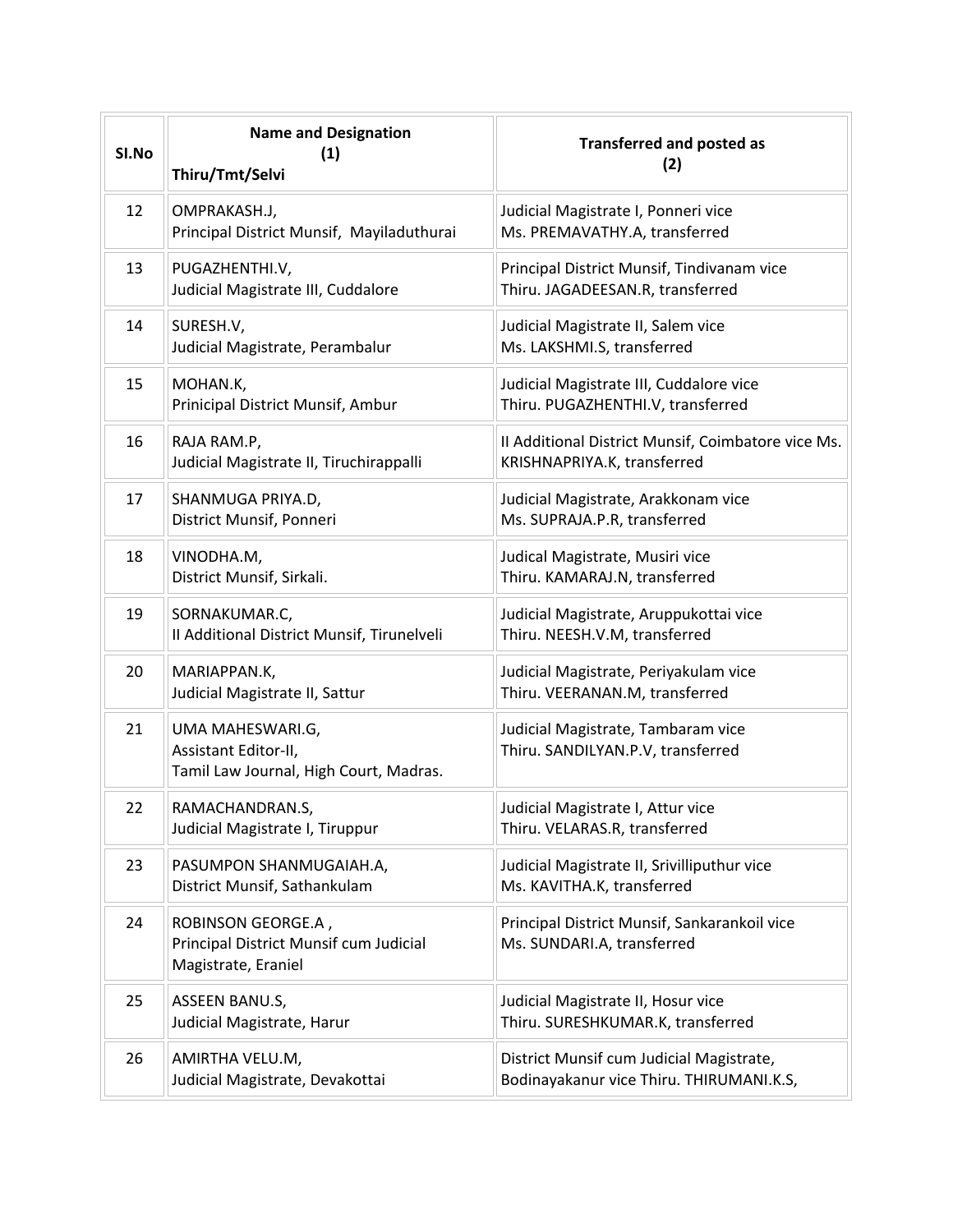| SI.No | <b>Name and Designation</b><br>(1)<br>Thiru/Tmt/Selvi                               | <b>Transferred and posted as</b><br>(2)                                              |
|-------|-------------------------------------------------------------------------------------|--------------------------------------------------------------------------------------|
| 12    | OMPRAKASH.J,<br>Principal District Munsif, Mayiladuthurai                           | Judicial Magistrate I, Ponneri vice<br>Ms. PREMAVATHY.A, transferred                 |
| 13    | PUGAZHENTHI.V,<br>Judicial Magistrate III, Cuddalore                                | Principal District Munsif, Tindivanam vice<br>Thiru. JAGADEESAN.R, transferred       |
| 14    | SURESH.V,<br>Judicial Magistrate, Perambalur                                        | Judicial Magistrate II, Salem vice<br>Ms. LAKSHMI.S, transferred                     |
| 15    | MOHAN.K,<br>Prinicipal District Munsif, Ambur                                       | Judicial Magistrate III, Cuddalore vice<br>Thiru. PUGAZHENTHI.V, transferred         |
| 16    | RAJA RAM.P,<br>Judicial Magistrate II, Tiruchirappalli                              | Il Additional District Munsif, Coimbatore vice Ms.<br>KRISHNAPRIYA.K, transferred    |
| 17    | SHANMUGA PRIYA.D,<br>District Munsif, Ponneri                                       | Judicial Magistrate, Arakkonam vice<br>Ms. SUPRAJA.P.R, transferred                  |
| 18    | VINODHA.M,<br>District Munsif, Sirkali.                                             | Judical Magistrate, Musiri vice<br>Thiru. KAMARAJ.N, transferred                     |
| 19    | SORNAKUMAR.C,<br>II Additional District Munsif, Tirunelveli                         | Judicial Magistrate, Aruppukottai vice<br>Thiru. NEESH.V.M, transferred              |
| 20    | MARIAPPAN.K,<br>Judicial Magistrate II, Sattur                                      | Judicial Magistrate, Periyakulam vice<br>Thiru. VEERANAN.M, transferred              |
| 21    | UMA MAHESWARI.G,<br>Assistant Editor-II,<br>Tamil Law Journal, High Court, Madras.  | Judicial Magistrate, Tambaram vice<br>Thiru. SANDILYAN.P.V, transferred              |
| 22    | RAMACHANDRAN.S,<br>Judicial Magistrate I, Tiruppur                                  | Judicial Magistrate I, Attur vice<br>Thiru. VELARAS.R, transferred                   |
| 23    | PASUMPON SHANMUGAIAH.A,<br>District Munsif, Sathankulam                             | Judicial Magistrate II, Srivilliputhur vice<br>Ms. KAVITHA.K, transferred            |
| 24    | ROBINSON GEORGE.A,<br>Principal District Munsif cum Judicial<br>Magistrate, Eraniel | Principal District Munsif, Sankarankoil vice<br>Ms. SUNDARI.A, transferred           |
| 25    | ASSEEN BANU.S,<br>Judicial Magistrate, Harur                                        | Judicial Magistrate II, Hosur vice<br>Thiru. SURESHKUMAR.K, transferred              |
| 26    | AMIRTHA VELU.M,<br>Judicial Magistrate, Devakottai                                  | District Munsif cum Judicial Magistrate,<br>Bodinayakanur vice Thiru. THIRUMANI.K.S, |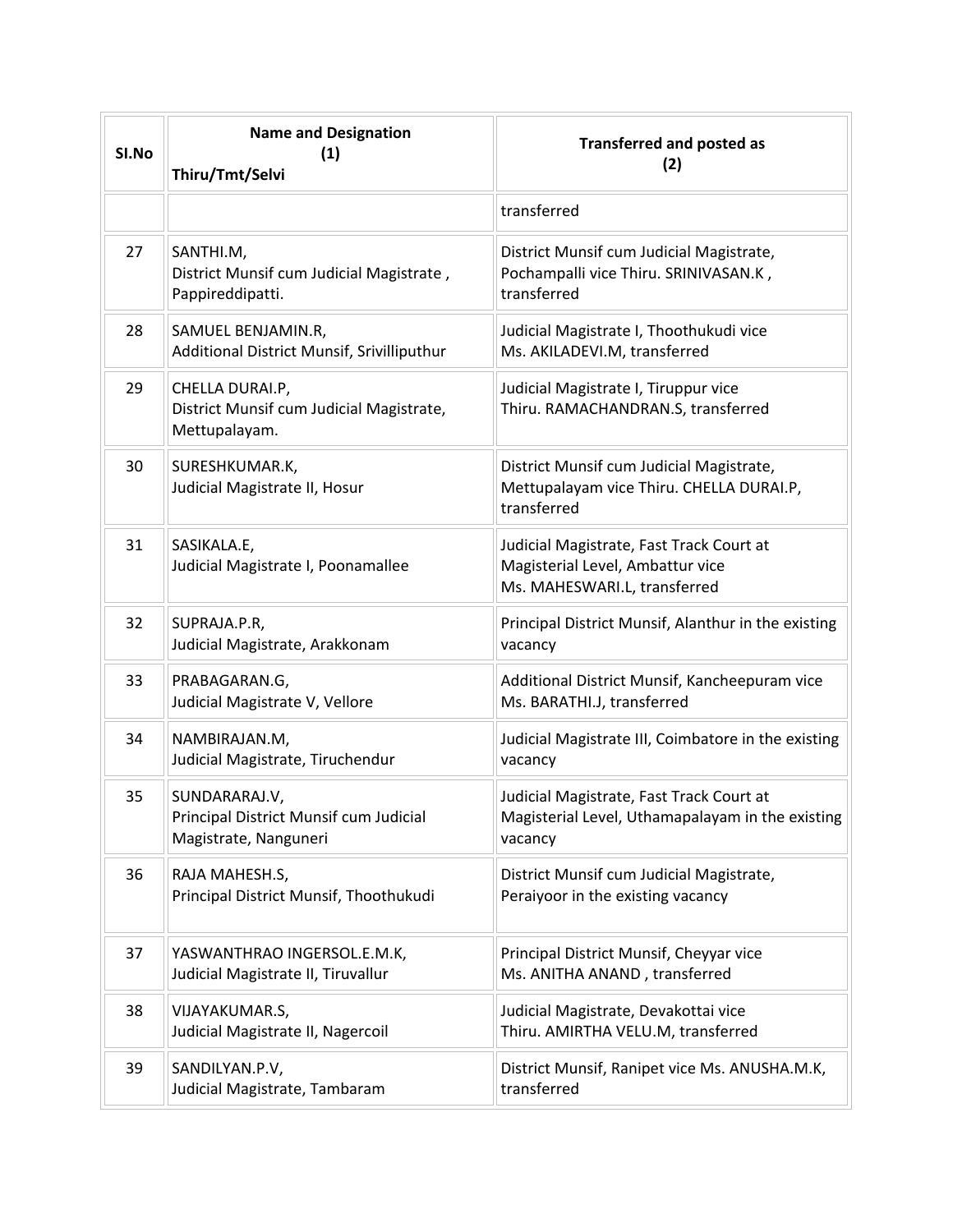| SI.No | <b>Name and Designation</b><br>(1)<br>Thiru/Tmt/Selvi                            | <b>Transferred and posted as</b><br>(2)                                                                      |
|-------|----------------------------------------------------------------------------------|--------------------------------------------------------------------------------------------------------------|
|       |                                                                                  | transferred                                                                                                  |
| 27    | SANTHI.M,<br>District Munsif cum Judicial Magistrate,<br>Pappireddipatti.        | District Munsif cum Judicial Magistrate,<br>Pochampalli vice Thiru. SRINIVASAN.K,<br>transferred             |
| 28    | SAMUEL BENJAMIN.R,<br>Additional District Munsif, Srivilliputhur                 | Judicial Magistrate I, Thoothukudi vice<br>Ms. AKILADEVI.M, transferred                                      |
| 29    | CHELLA DURAI.P,<br>District Munsif cum Judicial Magistrate,<br>Mettupalayam.     | Judicial Magistrate I, Tiruppur vice<br>Thiru. RAMACHANDRAN.S, transferred                                   |
| 30    | SURESHKUMAR.K,<br>Judicial Magistrate II, Hosur                                  | District Munsif cum Judicial Magistrate,<br>Mettupalayam vice Thiru. CHELLA DURAI.P,<br>transferred          |
| 31    | SASIKALA.E,<br>Judicial Magistrate I, Poonamallee                                | Judicial Magistrate, Fast Track Court at<br>Magisterial Level, Ambattur vice<br>Ms. MAHESWARI.L, transferred |
| 32    | SUPRAJA.P.R,<br>Judicial Magistrate, Arakkonam                                   | Principal District Munsif, Alanthur in the existing<br>vacancy                                               |
| 33    | PRABAGARAN.G,<br>Judicial Magistrate V, Vellore                                  | Additional District Munsif, Kancheepuram vice<br>Ms. BARATHI.J, transferred                                  |
| 34    | NAMBIRAJAN.M,<br>Judicial Magistrate, Tiruchendur                                | Judicial Magistrate III, Coimbatore in the existing<br>vacancy                                               |
| 35    | SUNDARARAJ.V,<br>Principal District Munsif cum Judicial<br>Magistrate, Nanguneri | Judicial Magistrate, Fast Track Court at<br>Magisterial Level, Uthamapalayam in the existing<br>vacancy      |
| 36    | RAJA MAHESH.S,<br>Principal District Munsif, Thoothukudi                         | District Munsif cum Judicial Magistrate,<br>Peraiyoor in the existing vacancy                                |
| 37    | YASWANTHRAO INGERSOL.E.M.K,<br>Judicial Magistrate II, Tiruvallur                | Principal District Munsif, Cheyyar vice<br>Ms. ANITHA ANAND, transferred                                     |
| 38    | VIJAYAKUMAR.S,<br>Judicial Magistrate II, Nagercoil                              | Judicial Magistrate, Devakottai vice<br>Thiru. AMIRTHA VELU.M, transferred                                   |
| 39    | SANDILYAN.P.V,<br>Judicial Magistrate, Tambaram                                  | District Munsif, Ranipet vice Ms. ANUSHA.M.K,<br>transferred                                                 |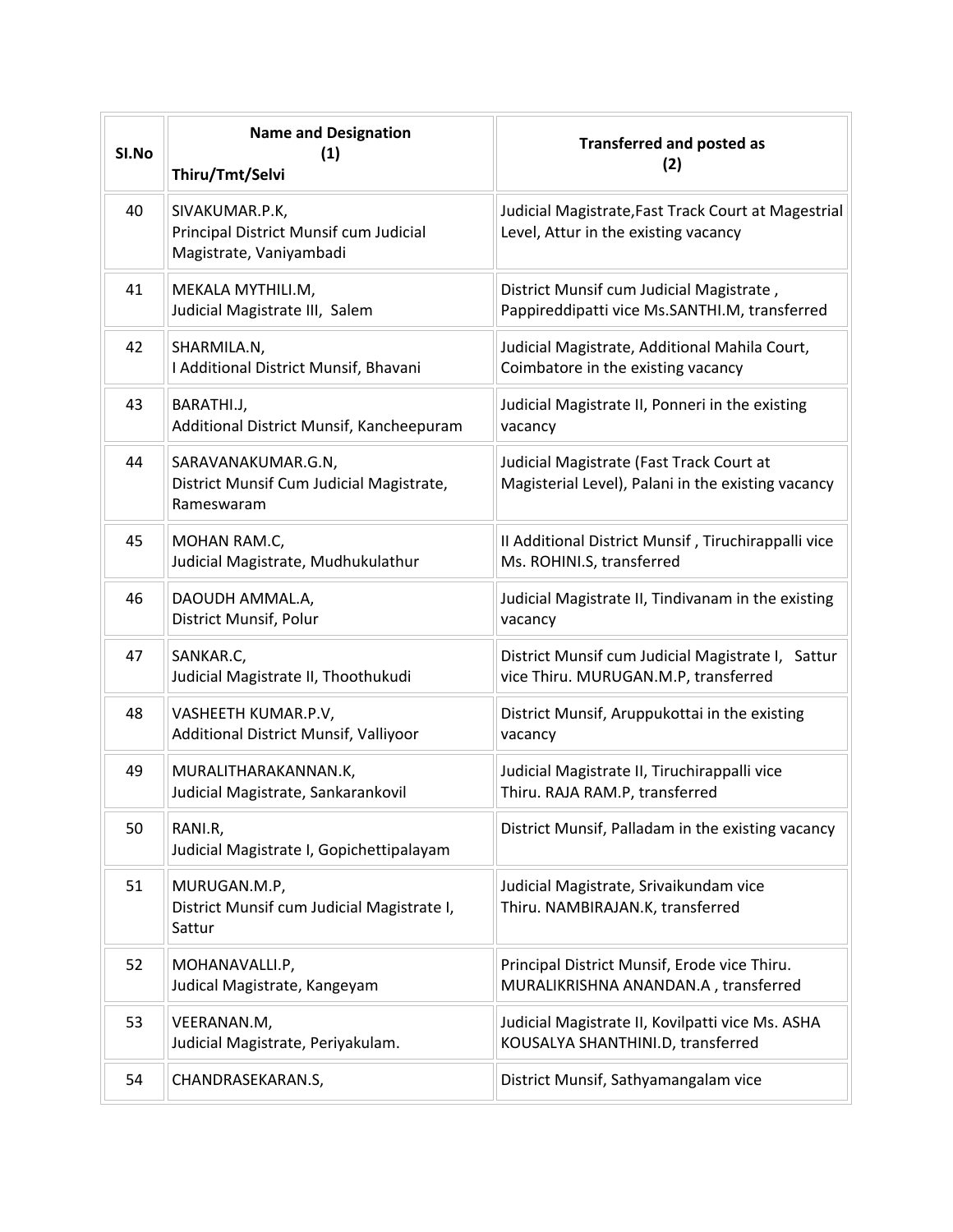| SI.No | <b>Name and Designation</b><br>(1)<br>Thiru/Tmt/Selvi                               | <b>Transferred and posted as</b><br>(2)                                                        |
|-------|-------------------------------------------------------------------------------------|------------------------------------------------------------------------------------------------|
| 40    | SIVAKUMAR.P.K,<br>Principal District Munsif cum Judicial<br>Magistrate, Vaniyambadi | Judicial Magistrate, Fast Track Court at Magestrial<br>Level, Attur in the existing vacancy    |
| 41    | MEKALA MYTHILI.M,<br>Judicial Magistrate III, Salem                                 | District Munsif cum Judicial Magistrate,<br>Pappireddipatti vice Ms.SANTHI.M, transferred      |
| 42    | SHARMILA.N,<br>I Additional District Munsif, Bhavani                                | Judicial Magistrate, Additional Mahila Court,<br>Coimbatore in the existing vacancy            |
| 43    | BARATHI.J,<br>Additional District Munsif, Kancheepuram                              | Judicial Magistrate II, Ponneri in the existing<br>vacancy                                     |
| 44    | SARAVANAKUMAR.G.N,<br>District Munsif Cum Judicial Magistrate,<br>Rameswaram        | Judicial Magistrate (Fast Track Court at<br>Magisterial Level), Palani in the existing vacancy |
| 45    | MOHAN RAM.C,<br>Judicial Magistrate, Mudhukulathur                                  | Il Additional District Munsif, Tiruchirappalli vice<br>Ms. ROHINI.S, transferred               |
| 46    | DAOUDH AMMAL.A,<br>District Munsif, Polur                                           | Judicial Magistrate II, Tindivanam in the existing<br>vacancy                                  |
| 47    | SANKAR.C,<br>Judicial Magistrate II, Thoothukudi                                    | District Munsif cum Judicial Magistrate I, Sattur<br>vice Thiru. MURUGAN.M.P, transferred      |
| 48    | VASHEETH KUMAR.P.V,<br>Additional District Munsif, Valliyoor                        | District Munsif, Aruppukottai in the existing<br>vacancy                                       |
| 49    | MURALITHARAKANNAN.K,<br>Judicial Magistrate, Sankarankovil                          | Judicial Magistrate II, Tiruchirappalli vice<br>Thiru. RAJA RAM.P, transferred                 |
| 50    | RANI.R,<br>Judicial Magistrate I, Gopichettipalayam                                 | District Munsif, Palladam in the existing vacancy                                              |
| 51    | MURUGAN.M.P,<br>District Munsif cum Judicial Magistrate I,<br>Sattur                | Judicial Magistrate, Srivaikundam vice<br>Thiru. NAMBIRAJAN.K, transferred                     |
| 52    | MOHANAVALLI.P,<br>Judical Magistrate, Kangeyam                                      | Principal District Munsif, Erode vice Thiru.<br>MURALIKRISHNA ANANDAN.A, transferred           |
| 53    | VEERANAN.M,<br>Judicial Magistrate, Periyakulam.                                    | Judicial Magistrate II, Kovilpatti vice Ms. ASHA<br>KOUSALYA SHANTHINI.D, transferred          |
| 54    | CHANDRASEKARAN.S,                                                                   | District Munsif, Sathyamangalam vice                                                           |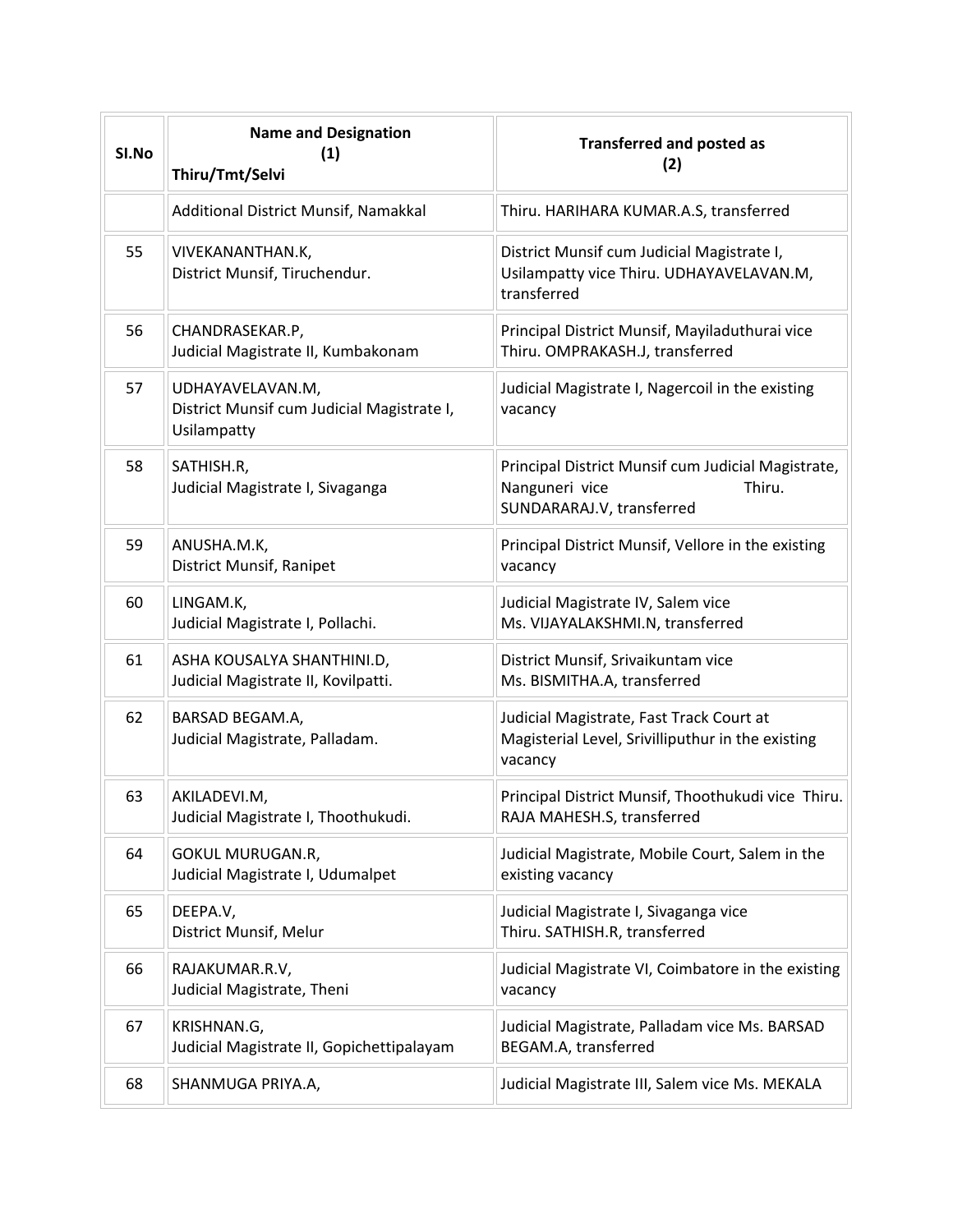| SI.No | <b>Name and Designation</b><br>(1)<br>Thiru/Tmt/Selvi                         | <b>Transferred and posted as</b><br>(2)                                                                     |
|-------|-------------------------------------------------------------------------------|-------------------------------------------------------------------------------------------------------------|
|       | Additional District Munsif, Namakkal                                          | Thiru. HARIHARA KUMAR.A.S, transferred                                                                      |
| 55    | VIVEKANANTHAN.K,<br>District Munsif, Tiruchendur.                             | District Munsif cum Judicial Magistrate I,<br>Usilampatty vice Thiru. UDHAYAVELAVAN.M,<br>transferred       |
| 56    | CHANDRASEKAR.P,<br>Judicial Magistrate II, Kumbakonam                         | Principal District Munsif, Mayiladuthurai vice<br>Thiru. OMPRAKASH.J, transferred                           |
| 57    | UDHAYAVELAVAN.M,<br>District Munsif cum Judicial Magistrate I,<br>Usilampatty | Judicial Magistrate I, Nagercoil in the existing<br>vacancy                                                 |
| 58    | SATHISH.R,<br>Judicial Magistrate I, Sivaganga                                | Principal District Munsif cum Judicial Magistrate,<br>Nanguneri vice<br>Thiru.<br>SUNDARARAJ.V, transferred |
| 59    | ANUSHA.M.K,<br>District Munsif, Ranipet                                       | Principal District Munsif, Vellore in the existing<br>vacancy                                               |
| 60    | LINGAM.K,<br>Judicial Magistrate I, Pollachi.                                 | Judicial Magistrate IV, Salem vice<br>Ms. VIJAYALAKSHMI.N, transferred                                      |
| 61    | ASHA KOUSALYA SHANTHINI.D,<br>Judicial Magistrate II, Kovilpatti.             | District Munsif, Srivaikuntam vice<br>Ms. BISMITHA.A, transferred                                           |
| 62    | BARSAD BEGAM.A,<br>Judicial Magistrate, Palladam.                             | Judicial Magistrate, Fast Track Court at<br>Magisterial Level, Srivilliputhur in the existing<br>vacancy    |
| 63    | AKILADEVI.M,<br>Judicial Magistrate I, Thoothukudi.                           | Principal District Munsif, Thoothukudi vice Thiru.<br>RAJA MAHESH.S, transferred                            |
| 64    | GOKUL MURUGAN.R,<br>Judicial Magistrate I, Udumalpet                          | Judicial Magistrate, Mobile Court, Salem in the<br>existing vacancy                                         |
| 65    | DEEPA.V,<br>District Munsif, Melur                                            | Judicial Magistrate I, Sivaganga vice<br>Thiru. SATHISH.R, transferred                                      |
| 66    | RAJAKUMAR.R.V,<br>Judicial Magistrate, Theni                                  | Judicial Magistrate VI, Coimbatore in the existing<br>vacancy                                               |
| 67    | KRISHNAN.G,<br>Judicial Magistrate II, Gopichettipalayam                      | Judicial Magistrate, Palladam vice Ms. BARSAD<br>BEGAM.A, transferred                                       |
| 68    | SHANMUGA PRIYA.A,                                                             | Judicial Magistrate III, Salem vice Ms. MEKALA                                                              |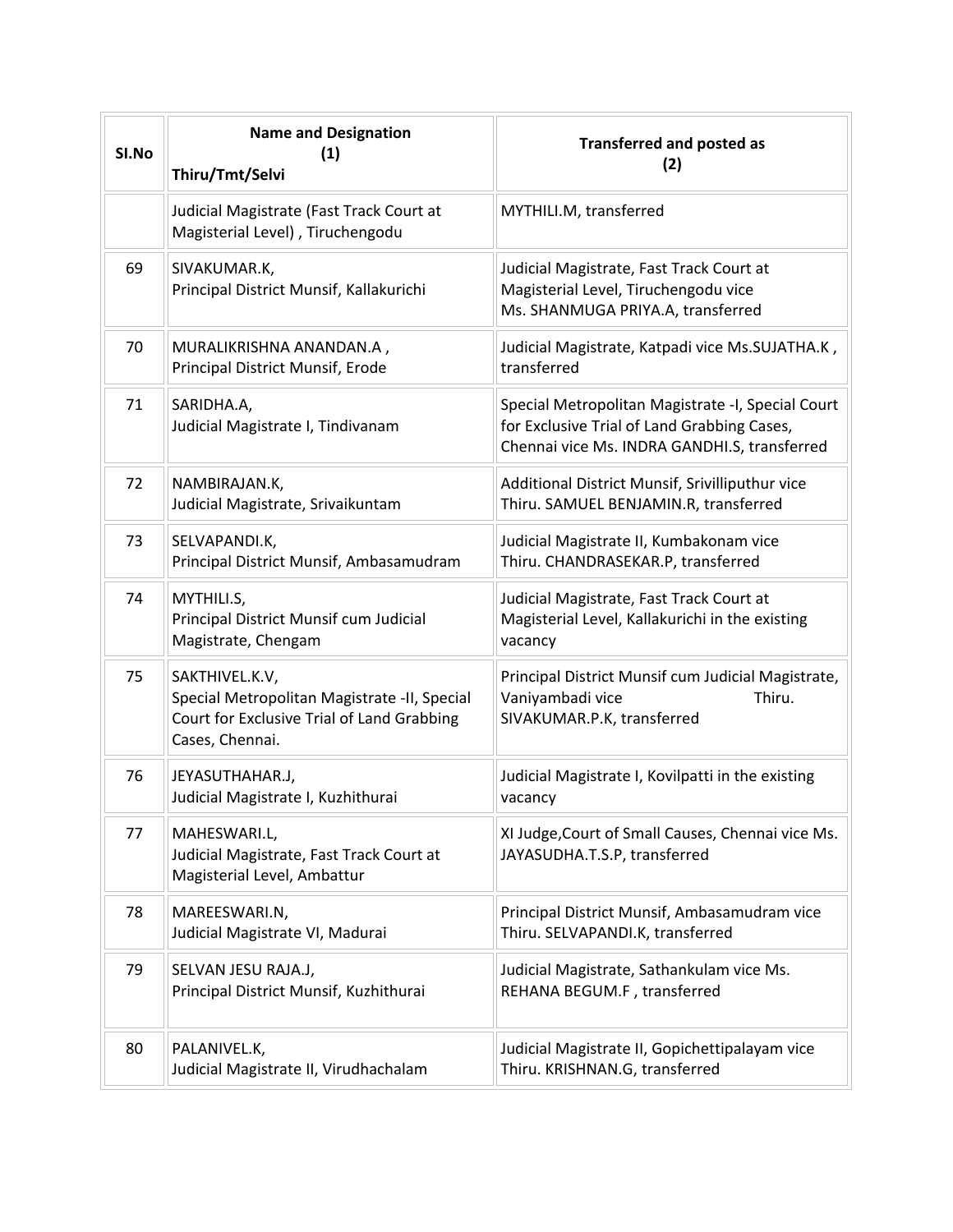| SI.No | <b>Name and Designation</b><br>(1)<br>Thiru/Tmt/Selvi                                                                           | <b>Transferred and posted as</b><br>(2)                                                                                                          |
|-------|---------------------------------------------------------------------------------------------------------------------------------|--------------------------------------------------------------------------------------------------------------------------------------------------|
|       | Judicial Magistrate (Fast Track Court at<br>Magisterial Level), Tiruchengodu                                                    | MYTHILI.M, transferred                                                                                                                           |
| 69    | SIVAKUMAR.K,<br>Principal District Munsif, Kallakurichi                                                                         | Judicial Magistrate, Fast Track Court at<br>Magisterial Level, Tiruchengodu vice<br>Ms. SHANMUGA PRIYA.A, transferred                            |
| 70    | MURALIKRISHNA ANANDAN.A,<br>Principal District Munsif, Erode                                                                    | Judicial Magistrate, Katpadi vice Ms.SUJATHA.K,<br>transferred                                                                                   |
| 71    | SARIDHA.A,<br>Judicial Magistrate I, Tindivanam                                                                                 | Special Metropolitan Magistrate -I, Special Court<br>for Exclusive Trial of Land Grabbing Cases,<br>Chennai vice Ms. INDRA GANDHI.S, transferred |
| 72    | NAMBIRAJAN.K,<br>Judicial Magistrate, Srivaikuntam                                                                              | Additional District Munsif, Srivilliputhur vice<br>Thiru. SAMUEL BENJAMIN.R, transferred                                                         |
| 73    | SELVAPANDI.K,<br>Principal District Munsif, Ambasamudram                                                                        | Judicial Magistrate II, Kumbakonam vice<br>Thiru. CHANDRASEKAR.P, transferred                                                                    |
| 74    | MYTHILI.S,<br>Principal District Munsif cum Judicial<br>Magistrate, Chengam                                                     | Judicial Magistrate, Fast Track Court at<br>Magisterial Level, Kallakurichi in the existing<br>vacancy                                           |
| 75    | SAKTHIVEL.K.V,<br>Special Metropolitan Magistrate -II, Special<br>Court for Exclusive Trial of Land Grabbing<br>Cases, Chennai. | Principal District Munsif cum Judicial Magistrate,<br>Vaniyambadi vice<br>Thiru.<br>SIVAKUMAR.P.K, transferred                                   |
| 76    | JEYASUTHAHAR.J,<br>Judicial Magistrate I, Kuzhithurai                                                                           | Judicial Magistrate I, Kovilpatti in the existing<br>vacancy                                                                                     |
| 77    | MAHESWARI.L,<br>Judicial Magistrate, Fast Track Court at<br>Magisterial Level, Ambattur                                         | XI Judge, Court of Small Causes, Chennai vice Ms.<br>JAYASUDHA.T.S.P, transferred                                                                |
| 78    | MAREESWARI.N,<br>Judicial Magistrate VI, Madurai                                                                                | Principal District Munsif, Ambasamudram vice<br>Thiru. SELVAPANDI.K, transferred                                                                 |
| 79    | SELVAN JESU RAJA.J,<br>Principal District Munsif, Kuzhithurai                                                                   | Judicial Magistrate, Sathankulam vice Ms.<br>REHANA BEGUM.F, transferred                                                                         |
| 80    | PALANIVEL.K,<br>Judicial Magistrate II, Virudhachalam                                                                           | Judicial Magistrate II, Gopichettipalayam vice<br>Thiru. KRISHNAN.G, transferred                                                                 |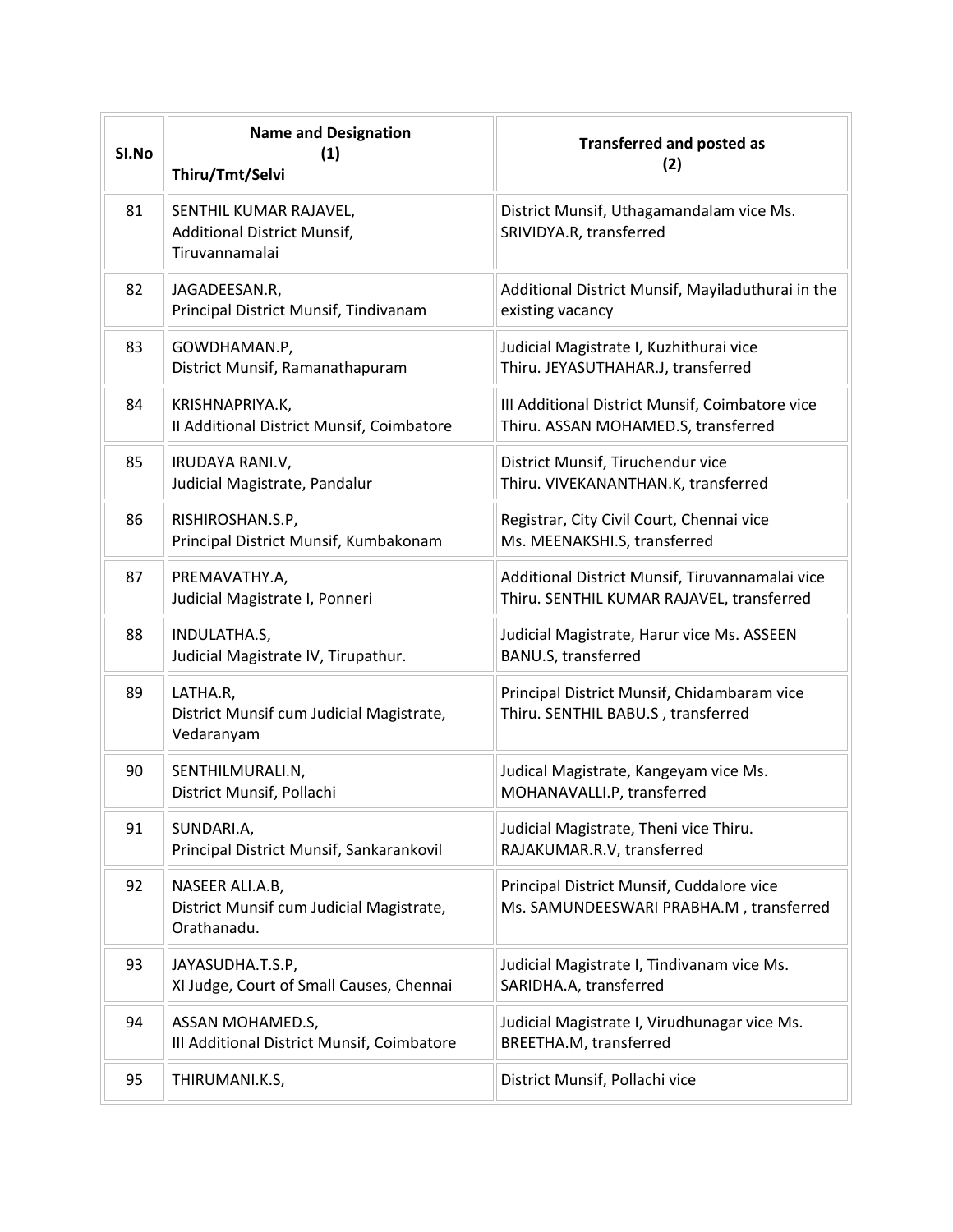| SI.No | <b>Name and Designation</b><br>(1)<br>Thiru/Tmt/Selvi                          | <b>Transferred and posted as</b><br>(2)                                                      |
|-------|--------------------------------------------------------------------------------|----------------------------------------------------------------------------------------------|
| 81    | SENTHIL KUMAR RAJAVEL,<br><b>Additional District Munsif,</b><br>Tiruvannamalai | District Munsif, Uthagamandalam vice Ms.<br>SRIVIDYA.R, transferred                          |
| 82    | JAGADEESAN.R,<br>Principal District Munsif, Tindivanam                         | Additional District Munsif, Mayiladuthurai in the<br>existing vacancy                        |
| 83    | GOWDHAMAN.P,<br>District Munsif, Ramanathapuram                                | Judicial Magistrate I, Kuzhithurai vice<br>Thiru. JEYASUTHAHAR.J, transferred                |
| 84    | KRISHNAPRIYA.K,<br>Il Additional District Munsif, Coimbatore                   | III Additional District Munsif, Coimbatore vice<br>Thiru. ASSAN MOHAMED.S, transferred       |
| 85    | IRUDAYA RANI.V,<br>Judicial Magistrate, Pandalur                               | District Munsif, Tiruchendur vice<br>Thiru. VIVEKANANTHAN.K, transferred                     |
| 86    | RISHIROSHAN.S.P,<br>Principal District Munsif, Kumbakonam                      | Registrar, City Civil Court, Chennai vice<br>Ms. MEENAKSHI.S, transferred                    |
| 87    | PREMAVATHY.A,<br>Judicial Magistrate I, Ponneri                                | Additional District Munsif, Tiruvannamalai vice<br>Thiru. SENTHIL KUMAR RAJAVEL, transferred |
| 88    | INDULATHA.S,<br>Judicial Magistrate IV, Tirupathur.                            | Judicial Magistrate, Harur vice Ms. ASSEEN<br>BANU.S, transferred                            |
| 89    | LATHA.R,<br>District Munsif cum Judicial Magistrate,<br>Vedaranyam             | Principal District Munsif, Chidambaram vice<br>Thiru. SENTHIL BABU.S, transferred            |
| 90    | SENTHILMURALI.N,<br>District Munsif, Pollachi                                  | Judical Magistrate, Kangeyam vice Ms.<br>MOHANAVALLI.P, transferred                          |
| 91    | SUNDARI.A,<br>Principal District Munsif, Sankarankovil                         | Judicial Magistrate, Theni vice Thiru.<br>RAJAKUMAR.R.V, transferred                         |
| 92    | NASEER ALI.A.B,<br>District Munsif cum Judicial Magistrate,<br>Orathanadu.     | Principal District Munsif, Cuddalore vice<br>Ms. SAMUNDEESWARI PRABHA.M, transferred         |
| 93    | JAYASUDHA.T.S.P,<br>XI Judge, Court of Small Causes, Chennai                   | Judicial Magistrate I, Tindivanam vice Ms.<br>SARIDHA.A, transferred                         |
| 94    | ASSAN MOHAMED.S,<br>III Additional District Munsif, Coimbatore                 | Judicial Magistrate I, Virudhunagar vice Ms.<br>BREETHA.M, transferred                       |
| 95    | THIRUMANI.K.S,                                                                 | District Munsif, Pollachi vice                                                               |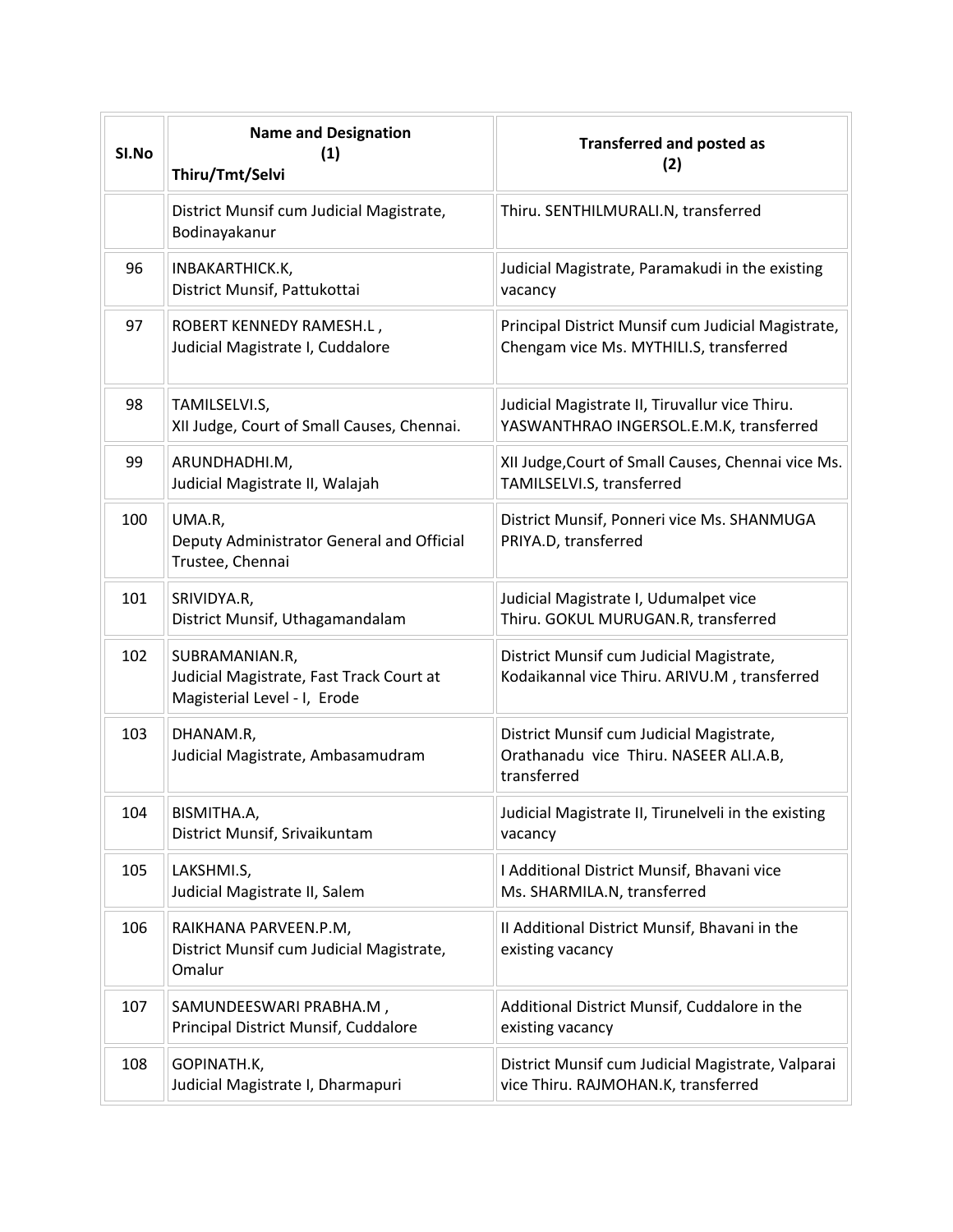| SI.No | <b>Name and Designation</b><br>(1)<br>Thiru/Tmt/Selvi                                      | <b>Transferred and posted as</b><br>(2)                                                           |
|-------|--------------------------------------------------------------------------------------------|---------------------------------------------------------------------------------------------------|
|       | District Munsif cum Judicial Magistrate,<br>Bodinayakanur                                  | Thiru. SENTHILMURALI.N, transferred                                                               |
| 96    | INBAKARTHICK.K,<br>District Munsif, Pattukottai                                            | Judicial Magistrate, Paramakudi in the existing<br>vacancy                                        |
| 97    | ROBERT KENNEDY RAMESH.L,<br>Judicial Magistrate I, Cuddalore                               | Principal District Munsif cum Judicial Magistrate,<br>Chengam vice Ms. MYTHILI.S, transferred     |
| 98    | TAMILSELVI.S,<br>XII Judge, Court of Small Causes, Chennai.                                | Judicial Magistrate II, Tiruvallur vice Thiru.<br>YASWANTHRAO INGERSOL.E.M.K, transferred         |
| 99    | ARUNDHADHI.M,<br>Judicial Magistrate II, Walajah                                           | XII Judge, Court of Small Causes, Chennai vice Ms.<br>TAMILSELVI.S, transferred                   |
| 100   | UMA.R,<br>Deputy Administrator General and Official<br>Trustee, Chennai                    | District Munsif, Ponneri vice Ms. SHANMUGA<br>PRIYA.D, transferred                                |
| 101   | SRIVIDYA.R,<br>District Munsif, Uthagamandalam                                             | Judicial Magistrate I, Udumalpet vice<br>Thiru. GOKUL MURUGAN.R, transferred                      |
| 102   | SUBRAMANIAN.R,<br>Judicial Magistrate, Fast Track Court at<br>Magisterial Level - I, Erode | District Munsif cum Judicial Magistrate,<br>Kodaikannal vice Thiru. ARIVU.M, transferred          |
| 103   | DHANAM.R,<br>Judicial Magistrate, Ambasamudram                                             | District Munsif cum Judicial Magistrate,<br>Orathanadu vice Thiru. NASEER ALI.A.B,<br>transferred |
| 104   | BISMITHA.A,<br>District Munsif, Srivaikuntam                                               | Judicial Magistrate II, Tirunelveli in the existing<br>vacancy                                    |
| 105   | LAKSHMI.S,<br>Judicial Magistrate II, Salem                                                | I Additional District Munsif, Bhavani vice<br>Ms. SHARMILA.N, transferred                         |
| 106   | RAIKHANA PARVEEN.P.M,<br>District Munsif cum Judicial Magistrate,<br>Omalur                | II Additional District Munsif, Bhavani in the<br>existing vacancy                                 |
| 107   | SAMUNDEESWARI PRABHA.M,<br>Principal District Munsif, Cuddalore                            | Additional District Munsif, Cuddalore in the<br>existing vacancy                                  |
| 108   | GOPINATH.K,<br>Judicial Magistrate I, Dharmapuri                                           | District Munsif cum Judicial Magistrate, Valparai<br>vice Thiru. RAJMOHAN.K, transferred          |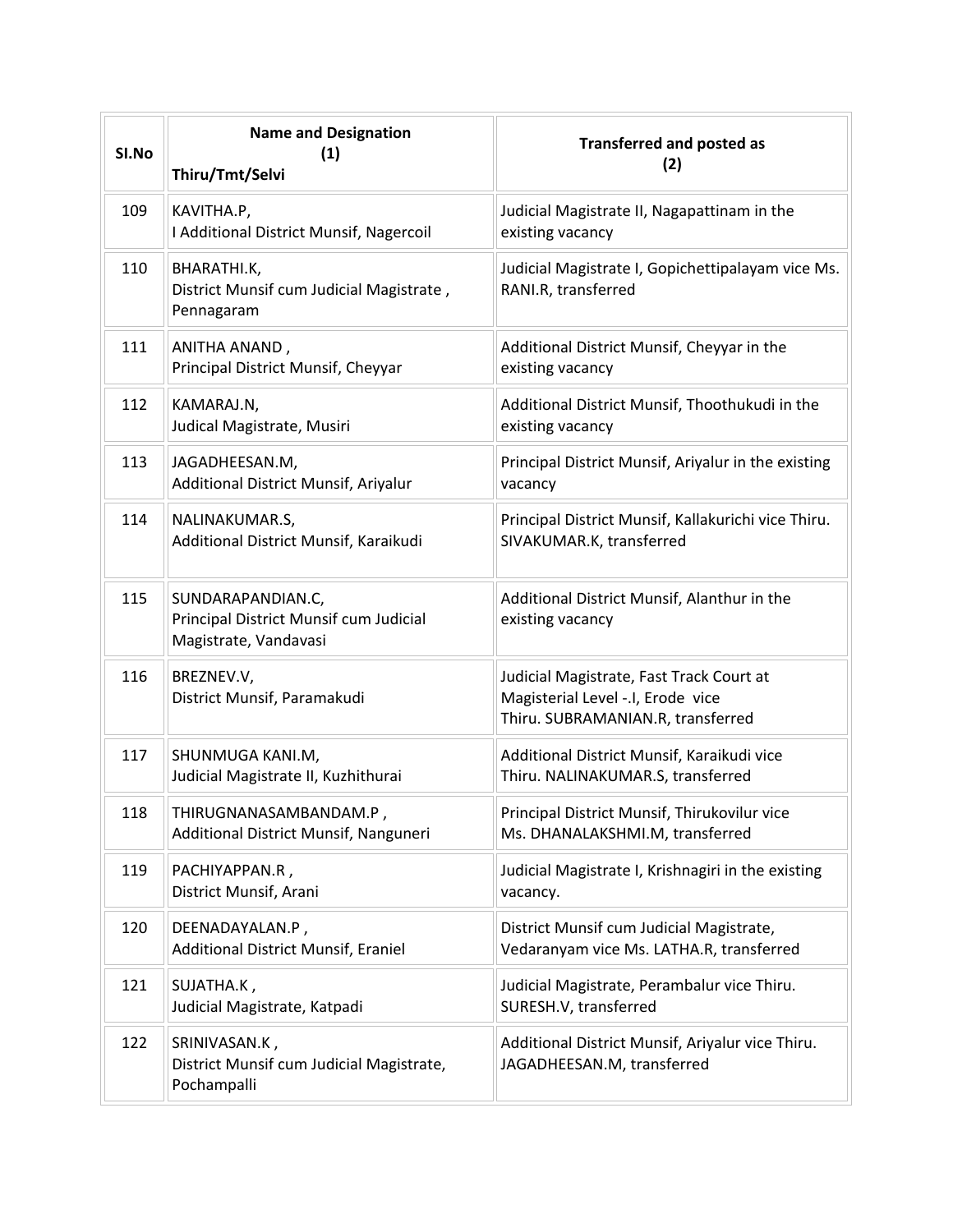| SI.No | <b>Name and Designation</b><br>(1)<br>Thiru/Tmt/Selvi                                | <b>Transferred and posted as</b><br>(2)                                                                            |
|-------|--------------------------------------------------------------------------------------|--------------------------------------------------------------------------------------------------------------------|
| 109   | KAVITHA.P,<br>I Additional District Munsif, Nagercoil                                | Judicial Magistrate II, Nagapattinam in the<br>existing vacancy                                                    |
| 110   | BHARATHI.K,<br>District Munsif cum Judicial Magistrate,<br>Pennagaram                | Judicial Magistrate I, Gopichettipalayam vice Ms.<br>RANI.R, transferred                                           |
| 111   | ANITHA ANAND,<br>Principal District Munsif, Cheyyar                                  | Additional District Munsif, Cheyyar in the<br>existing vacancy                                                     |
| 112   | KAMARAJ.N,<br>Judical Magistrate, Musiri                                             | Additional District Munsif, Thoothukudi in the<br>existing vacancy                                                 |
| 113   | JAGADHEESAN.M,<br>Additional District Munsif, Ariyalur                               | Principal District Munsif, Ariyalur in the existing<br>vacancy                                                     |
| 114   | NALINAKUMAR.S,<br>Additional District Munsif, Karaikudi                              | Principal District Munsif, Kallakurichi vice Thiru.<br>SIVAKUMAR.K, transferred                                    |
| 115   | SUNDARAPANDIAN.C,<br>Principal District Munsif cum Judicial<br>Magistrate, Vandavasi | Additional District Munsif, Alanthur in the<br>existing vacancy                                                    |
| 116   | BREZNEV.V,<br>District Munsif, Paramakudi                                            | Judicial Magistrate, Fast Track Court at<br>Magisterial Level -.I, Erode vice<br>Thiru. SUBRAMANIAN.R, transferred |
| 117   | SHUNMUGA KANI.M,<br>Judicial Magistrate II, Kuzhithurai                              | Additional District Munsif, Karaikudi vice<br>Thiru. NALINAKUMAR.S, transferred                                    |
| 118   | THIRUGNANASAMBANDAM.P,<br>Additional District Munsif, Nanguneri                      | Principal District Munsif, Thirukovilur vice<br>Ms. DHANALAKSHMI.M, transferred                                    |
| 119   | PACHIYAPPAN.R,<br>District Munsif, Arani                                             | Judicial Magistrate I, Krishnagiri in the existing<br>vacancy.                                                     |
| 120   | DEENADAYALAN.P,<br>Additional District Munsif, Eraniel                               | District Munsif cum Judicial Magistrate,<br>Vedaranyam vice Ms. LATHA.R, transferred                               |
| 121   | SUJATHA.K,<br>Judicial Magistrate, Katpadi                                           | Judicial Magistrate, Perambalur vice Thiru.<br>SURESH.V, transferred                                               |
| 122   | SRINIVASAN.K,<br>District Munsif cum Judicial Magistrate,<br>Pochampalli             | Additional District Munsif, Ariyalur vice Thiru.<br>JAGADHEESAN.M, transferred                                     |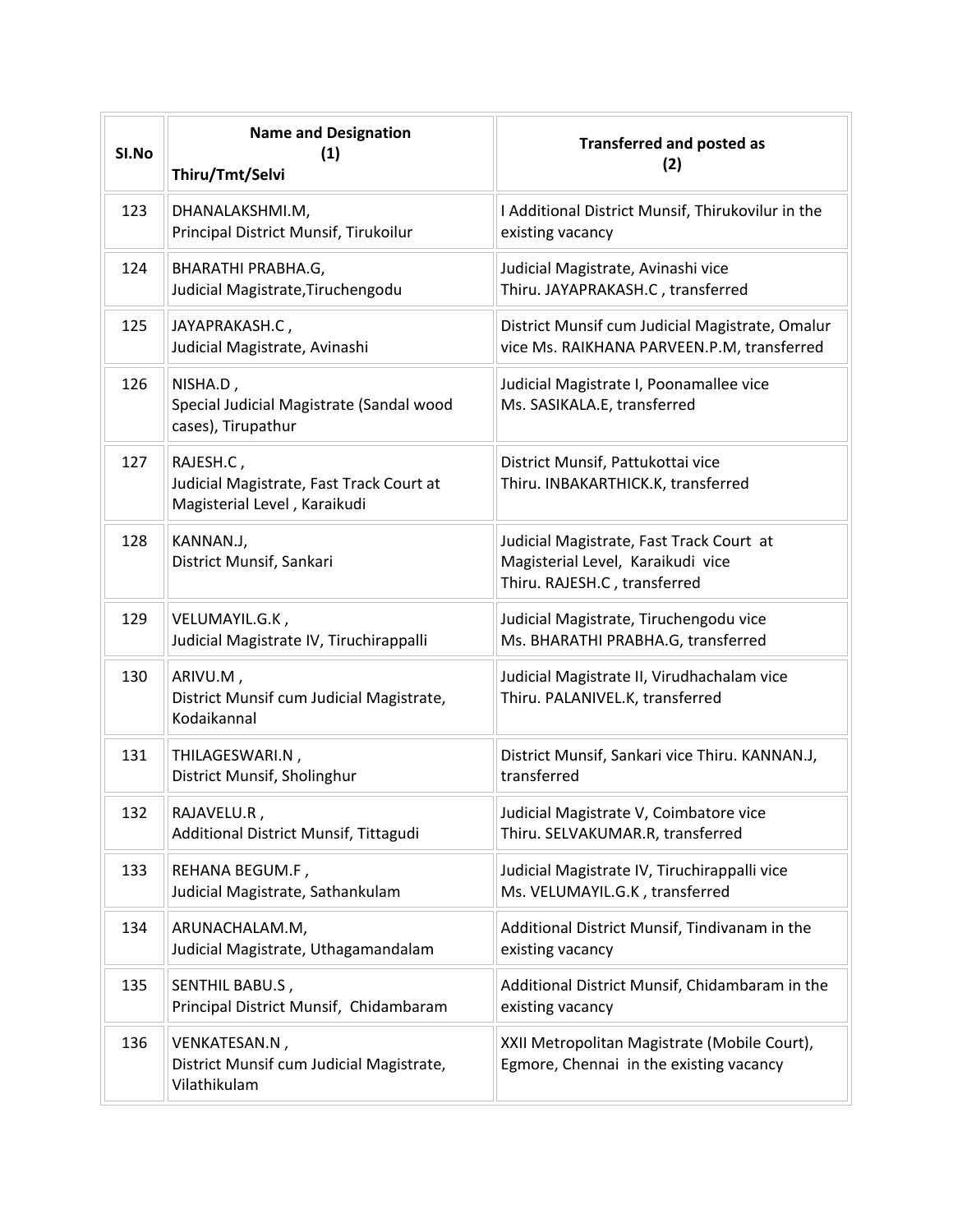| SI.No | <b>Name and Designation</b><br>(1)<br>Thiru/Tmt/Selvi                                 | <b>Transferred and posted as</b><br>(2)                                                                       |
|-------|---------------------------------------------------------------------------------------|---------------------------------------------------------------------------------------------------------------|
| 123   | DHANALAKSHMI.M,<br>Principal District Munsif, Tirukoilur                              | I Additional District Munsif, Thirukovilur in the<br>existing vacancy                                         |
| 124   | BHARATHI PRABHA.G,<br>Judicial Magistrate, Tiruchengodu                               | Judicial Magistrate, Avinashi vice<br>Thiru. JAYAPRAKASH.C, transferred                                       |
| 125   | JAYAPRAKASH.C,<br>Judicial Magistrate, Avinashi                                       | District Munsif cum Judicial Magistrate, Omalur<br>vice Ms. RAIKHANA PARVEEN.P.M, transferred                 |
| 126   | NISHA.D,<br>Special Judicial Magistrate (Sandal wood<br>cases), Tirupathur            | Judicial Magistrate I, Poonamallee vice<br>Ms. SASIKALA.E, transferred                                        |
| 127   | RAJESH.C,<br>Judicial Magistrate, Fast Track Court at<br>Magisterial Level, Karaikudi | District Munsif, Pattukottai vice<br>Thiru. INBAKARTHICK.K, transferred                                       |
| 128   | KANNAN.J,<br>District Munsif, Sankari                                                 | Judicial Magistrate, Fast Track Court at<br>Magisterial Level, Karaikudi vice<br>Thiru. RAJESH.C, transferred |
| 129   | VELUMAYIL.G.K,<br>Judicial Magistrate IV, Tiruchirappalli                             | Judicial Magistrate, Tiruchengodu vice<br>Ms. BHARATHI PRABHA.G, transferred                                  |
| 130   | ARIVU.M,<br>District Munsif cum Judicial Magistrate,<br>Kodaikannal                   | Judicial Magistrate II, Virudhachalam vice<br>Thiru. PALANIVEL.K, transferred                                 |
| 131   | THILAGESWARI.N,<br>District Munsif, Sholinghur                                        | District Munsif, Sankari vice Thiru. KANNAN.J,<br>transferred                                                 |
| 132   | RAJAVELU.R,<br>Additional District Munsif, Tittagudi                                  | Judicial Magistrate V, Coimbatore vice<br>Thiru. SELVAKUMAR.R, transferred                                    |
| 133   | REHANA BEGUM.F,<br>Judicial Magistrate, Sathankulam                                   | Judicial Magistrate IV, Tiruchirappalli vice<br>Ms. VELUMAYIL.G.K, transferred                                |
| 134   | ARUNACHALAM.M,<br>Judicial Magistrate, Uthagamandalam                                 | Additional District Munsif, Tindivanam in the<br>existing vacancy                                             |
| 135   | SENTHIL BABU.S,<br>Principal District Munsif, Chidambaram                             | Additional District Munsif, Chidambaram in the<br>existing vacancy                                            |
| 136   | VENKATESAN.N,<br>District Munsif cum Judicial Magistrate,<br>Vilathikulam             | XXII Metropolitan Magistrate (Mobile Court),<br>Egmore, Chennai in the existing vacancy                       |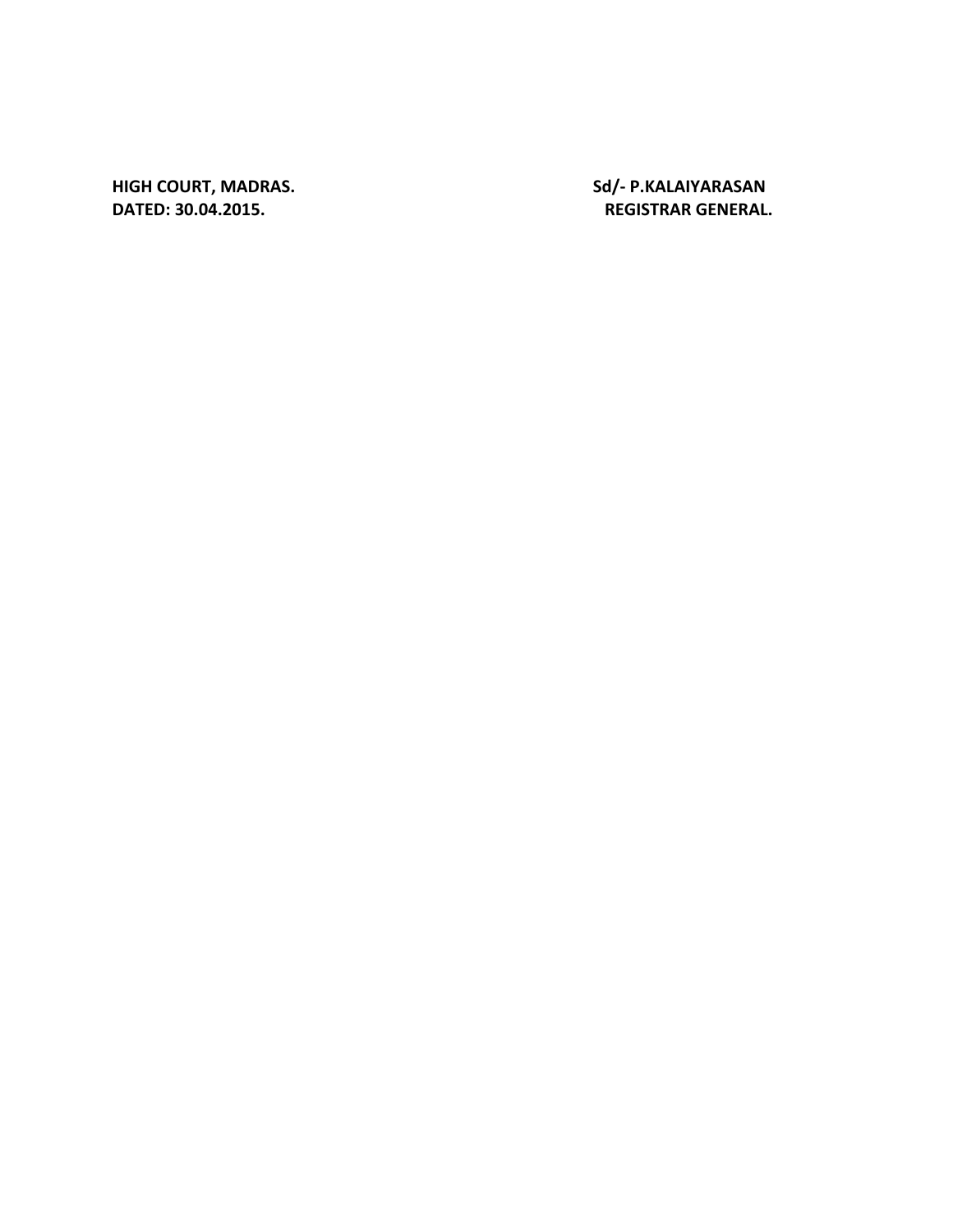**HIGH COURT, MADRAS.** Sd/- P.KALAIYARASAN **DATED:** 

**30.04.2015. REGISTRAR GENERAL.**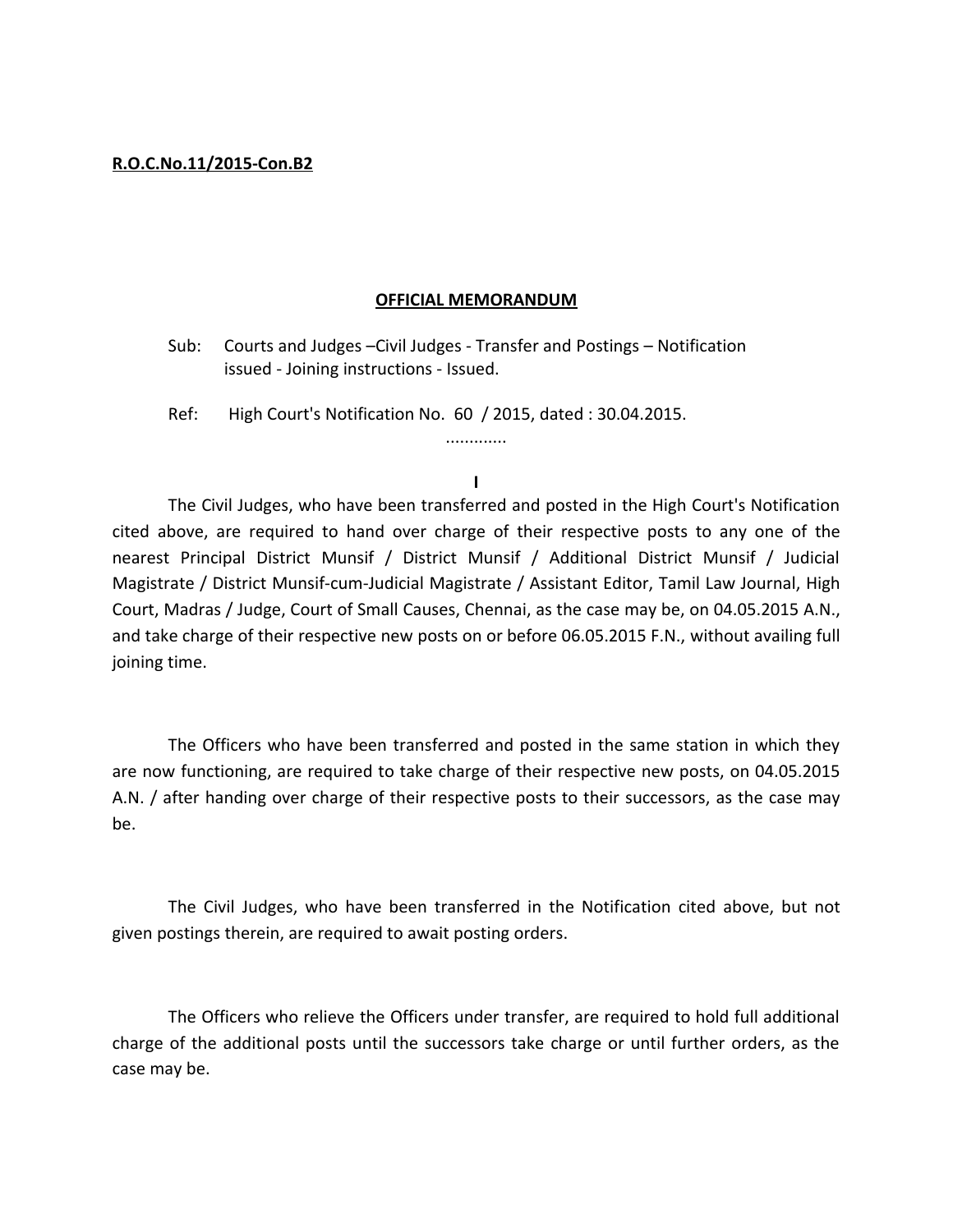#### **R.O.C.No.11/2015-Con.B2**

#### **OFFICIAL MEMORANDUM**

- Sub: Courts and Judges –Civil Judges Transfer and Postings Notification issued - Joining instructions - Issued.
- Ref: High Court's Notification No. 60 / 2015, dated : 30.04.2015.

**I**

.............

The Civil Judges, who have been transferred and posted in the High Court's Notification cited above, are required to hand over charge of their respective posts to any one of the nearest Principal District Munsif / District Munsif / Additional District Munsif / Judicial Magistrate / District Munsif-cum-Judicial Magistrate / Assistant Editor, Tamil Law Journal, High Court, Madras / Judge, Court of Small Causes, Chennai, as the case may be, on 04.05.2015 A.N., and take charge of their respective new posts on or before 06.05.2015 F.N., without availing full joining time.

The Officers who have been transferred and posted in the same station in which they are now functioning, are required to take charge of their respective new posts, on 04.05.2015 A.N. / after handing over charge of their respective posts to their successors, as the case may be.

The Civil Judges, who have been transferred in the Notification cited above, but not given postings therein, are required to await posting orders.

The Officers who relieve the Officers under transfer, are required to hold full additional charge of the additional posts until the successors take charge or until further orders, as the case may be.